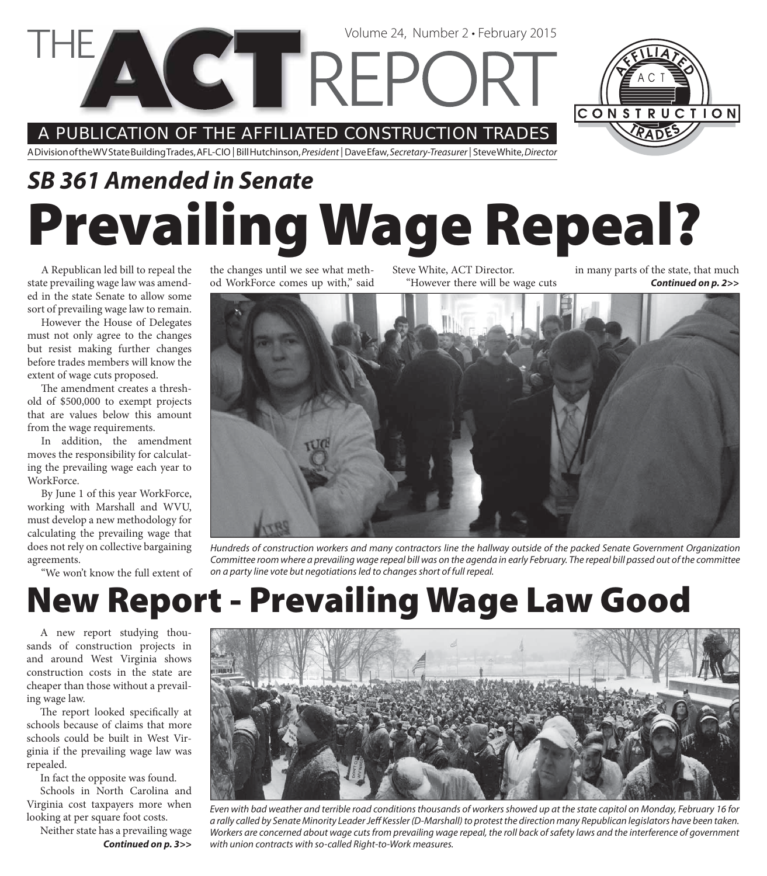A PUBLICATION OF THE AFFILIATED CONSTRUCTION TRADES

**CETRE** 

A Division of the WV State Building Trades, AFL-CIO | Bill Hutchinson, President | Dave Efaw, Secretary-Treasurer | Steve White, Director

## **Prevailing Wage Repeal?** *SB 361 Amended in Senate*

A Republican led bill to repeal the state prevailing wage law was amended in the state Senate to allow some sort of prevailing wage law to remain.

However the House of Delegates must not only agree to the changes but resist making further changes before trades members will know the extent of wage cuts proposed.

The amendment creates a threshold of \$500,000 to exempt projects that are values below this amount from the wage requirements.

In addition, the amendment moves the responsibility for calculating the prevailing wage each year to WorkForce.

By June 1 of this year WorkForce, working with Marshall and WVU, must develop a new methodology for calculating the prevailing wage that does not rely on collective bargaining agreements.

"We won't know the full extent of

the changes until we see what method WorkForce comes up with," said Steve White, ACT Director. "However there will be wage cuts

Volume 24, Number 2 • February 2015

*Continued on p. 2>>* in many parts of the state, that much



Hundreds of construction workers and many contractors line the hallway outside of the packed Senate Government Organization Committee room where a prevailing wage repeal bill was on the agenda in early February. The repeal bill passed out of the committee on a party line vote but negotiations led to changes short of full repeal.

## **New Report - Prevailing Wage Law Good**

A new report studying thousands of construction projects in and around West Virginia shows construction costs in the state are cheaper than those without a prevailing wage law.

The report looked specifically at schools because of claims that more schools could be built in West Virginia if the prevailing wage law was repealed.

In fact the opposite was found.

Schools in North Carolina and Virginia cost taxpayers more when looking at per square foot costs.

Neither state has a prevailing wage *Continued on p. 3>>*



Even with bad weather and terrible road conditions thousands of workers showed up at the state capitol on Monday, February 16 for a rally called by Senate Minority Leader Jeff Kessler (D-Marshall) to protest the direction many Republican legislators have been taken. Workers are concerned about wage cuts from prevailing wage repeal, the roll back of safety laws and the interference of government with union contracts with so-called Right-to-Work measures.

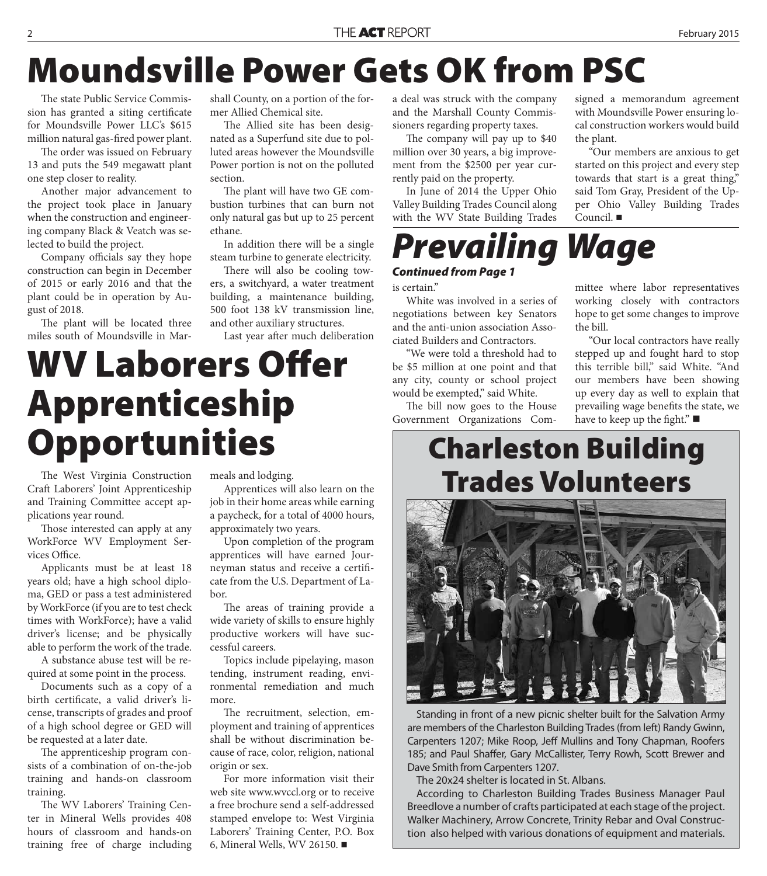### **Moundsville Power Gets OK from PSC**

The state Public Service Commission has granted a siting certificate for Moundsville Power LLC's \$615 million natural gas-fired power plant.

The order was issued on February 13 and puts the 549 megawatt plant one step closer to reality.

Another major advancement to the project took place in January when the construction and engineering company Black & Veatch was selected to build the project.

Company officials say they hope construction can begin in December of 2015 or early 2016 and that the plant could be in operation by August of 2018.

The plant will be located three miles south of Moundsville in Marshall County, on a portion of the former Allied Chemical site.

The Allied site has been designated as a Superfund site due to polluted areas however the Moundsville Power portion is not on the polluted section.

The plant will have two GE combustion turbines that can burn not only natural gas but up to 25 percent ethane.

In addition there will be a single steam turbine to generate electricity.

There will also be cooling towers, a switchyard, a water treatment building, a maintenance building, 500 foot 138 kV transmission line, and other auxiliary structures.

Last year after much deliberation

### **WV Laborers Offer Apprenticeship Opportunities**

The West Virginia Construction Craft Laborers' Joint Apprenticeship and Training Committee accept applications year round.

Those interested can apply at any WorkForce WV Employment Services Office.

Applicants must be at least 18 years old; have a high school diploma, GED or pass a test administered by WorkForce (if you are to test check times with WorkForce); have a valid driver's license; and be physically able to perform the work of the trade.

A substance abuse test will be required at some point in the process.

Documents such as a copy of a birth certificate, a valid driver's license, transcripts of grades and proof of a high school degree or GED will be requested at a later date.

The apprenticeship program consists of a combination of on-the-job training and hands-on classroom training.

The WV Laborers' Training Center in Mineral Wells provides 408 hours of classroom and hands-on training free of charge including meals and lodging.

Apprentices will also learn on the job in their home areas while earning a paycheck, for a total of 4000 hours, approximately two years.

Upon completion of the program apprentices will have earned Journeyman status and receive a certificate from the U.S. Department of Labor.

The areas of training provide a wide variety of skills to ensure highly productive workers will have successful careers.

Topics include pipelaying, mason tending, instrument reading, environmental remediation and much more.

The recruitment, selection, employment and training of apprentices shall be without discrimination because of race, color, religion, national origin or sex.

For more information visit their web site www.wvccl.org or to receive a free brochure send a self-addressed stamped envelope to: West Virginia Laborers' Training Center, P.O. Box 6, Mineral Wells, WV 26150.

a deal was struck with the company and the Marshall County Commissioners regarding property taxes.

The company will pay up to \$40 million over 30 years, a big improvement from the \$2500 per year currently paid on the property.

In June of 2014 the Upper Ohio Valley Building Trades Council along with the WV State Building Trades signed a memorandum agreement with Moundsville Power ensuring local construction workers would build the plant.

"Our members are anxious to get started on this project and every step towards that start is a great thing," said Tom Gray, President of the Upper Ohio Valley Building Trades Council.

### *Prevailing Wage*

### *Continued from Page 1*

is certain."

White was involved in a series of negotiations between key Senators and the anti-union association Associated Builders and Contractors.

"We were told a threshold had to be \$5 million at one point and that any city, county or school project would be exempted," said White.

The bill now goes to the House Government Organizations Com-

mittee where labor representatives working closely with contractors hope to get some changes to improve the bill.

"Our local contractors have really stepped up and fought hard to stop this terrible bill," said White. "And our members have been showing up every day as well to explain that prevailing wage benefits the state, we have to keep up the fight." $\blacksquare$ 

### **Charleston Building Trades Volunteers**

Standing in front of a new picnic shelter built for the Salvation Army are members of the Charleston Building Trades (from left) Randy Gwinn, Carpenters 1207; Mike Roop, Jeff Mullins and Tony Chapman, Roofers 185; and Paul Shaffer, Gary McCallister, Terry Rowh, Scott Brewer and Dave Smith from Carpenters 1207.

The 20x24 shelter is located in St. Albans.

According to Charleston Building Trades Business Manager Paul Breedlove a number of crafts participated at each stage of the project. Walker Machinery, Arrow Concrete, Trinity Rebar and Oval Construction also helped with various donations of equipment and materials.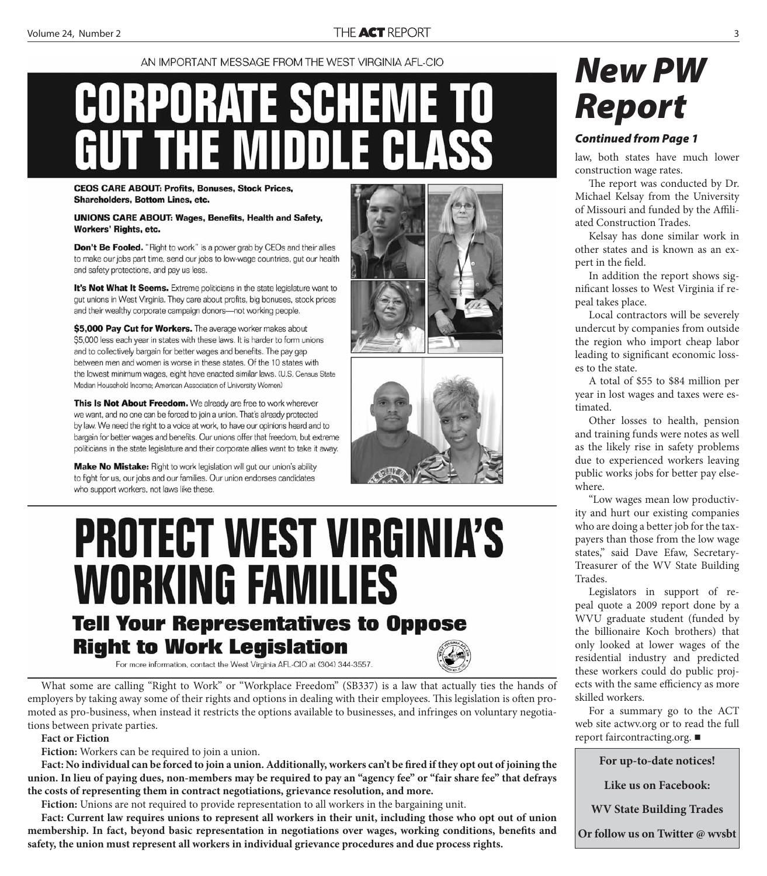#### AN IMPORTANT MESSAGE FROM THE WEST VIRGINIA AFL-CIO

# **CORPORATE SCHEME** III

**CEOS CARE ABOUT: Profits, Bonuses, Stock Prices, Shareholders, Bottom Lines, etc.** 

**UNIONS CARE ABOUT: Wages, Benefits, Health and Safety,** Workers' Rights, etc.

Don't Be Fooled. "Right to work" is a power grab by CEOs and their allies to make our jobs part time, send our jobs to low-wage countries, gut our health and safety protections, and pay us less.

It's Not What It Seems. Extreme politicians in the state legislature want to gut unions in West Virginia. They care about profits, big bonuses, stock prices and their wealthy corporate campaign donors-not working people.

\$5,000 Pay Cut for Workers. The average worker makes about \$5,000 less each year in states with these laws. It is harder to form unions and to collectively bargain for better wages and benefits. The pay gap between men and women is worse in these states. Of the 10 states with the lowest minimum wages, eight have enacted similar laws. (U.S. Census State Median Household Income; American Association of University Women)

This Is Not About Freedom. We already are free to work wherever we want, and no one can be forced to join a union. That's already protected by law. We need the right to a voice at work, to have our opinions heard and to bargain for better wages and benefits. Our unions offer that freedom, but extreme politicians in the state legislature and their corporate allies want to take it away.

Make No Mistake: Right to work legislation will gut our union's ability to fight for us, our jobs and our families. Our union endorses candidates who support workers, not laws like these.

### **PROTECT WEST VIRGINIA'S WORKING FAMILIES Tell Your Representatives to Oppose Right to Work Legislation**

For more information, contact the West Virginia AFL-CIO at (304) 344-3557.





### *New PW Report*

#### *Continued from Page 1*

law, both states have much lower construction wage rates.

The report was conducted by Dr. Michael Kelsay from the University of Missouri and funded by the Affiliated Construction Trades.

Kelsay has done similar work in other states and is known as an expert in the field.

In addition the report shows significant losses to West Virginia if repeal takes place.

Local contractors will be severely undercut by companies from outside the region who import cheap labor leading to significant economic losses to the state.

A total of \$55 to \$84 million per year in lost wages and taxes were estimated.

Other losses to health, pension and training funds were notes as well as the likely rise in safety problems due to experienced workers leaving public works jobs for better pay elsewhere.

"Low wages mean low productivity and hurt our existing companies who are doing a better job for the taxpayers than those from the low wage states," said Dave Efaw, Secretary-Treasurer of the WV State Building Trades.

Legislators in support of repeal quote a 2009 report done by a WVU graduate student (funded by the billionaire Koch brothers) that only looked at lower wages of the residential industry and predicted these workers could do public projects with the same efficiency as more skilled workers.

For a summary go to the ACT web site actwv.org or to read the full report faircontracting.org.

**For up-to-date notices!**

**Like us on Facebook:** 

**WV State Building Trades** 

**Or follow us on Twitter @ wvsbt**



What some are calling "Right to Work" or "Workplace Freedom" (SB337) is a law that actually ties the hands of employers by taking away some of their rights and options in dealing with their employees. This legislation is often promoted as pro-business, when instead it restricts the options available to businesses, and infringes on voluntary negotiations between private parties.

#### **Fact or Fiction**

**Fiction:** Workers can be required to join a union.

Fact: No individual can be forced to join a union. Additionally, workers can't be fired if they opt out of joining the **union. In lieu of paying dues, non-members may be required to pay an "agency fee" or "fair share fee" that defrays the costs of representing them in contract negotiations, grievance resolution, and more.**

**Fiction:** Unions are not required to provide representation to all workers in the bargaining unit.

**Fact: Current law requires unions to represent all workers in their unit, including those who opt out of union**  membership. In fact, beyond basic representation in negotiations over wages, working conditions, benefits and **safety, the union must represent all workers in individual grievance procedures and due process rights.**